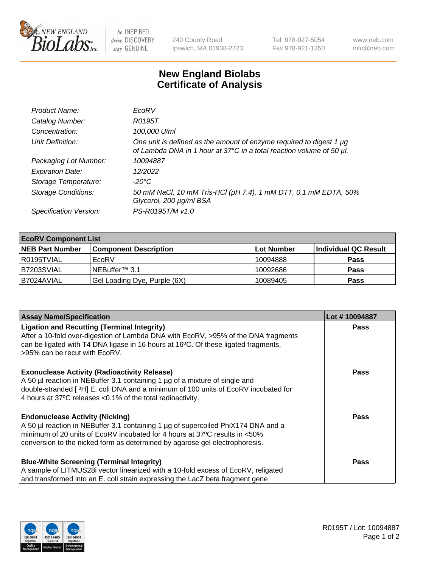

 $be$  INSPIRED drive DISCOVERY stay GENUINE

240 County Road Ipswich, MA 01938-2723 Tel 978-927-5054 Fax 978-921-1350 www.neb.com info@neb.com

## **New England Biolabs Certificate of Analysis**

| Product Name:              | EcoRV                                                                                                                                       |
|----------------------------|---------------------------------------------------------------------------------------------------------------------------------------------|
| Catalog Number:            | R0195T                                                                                                                                      |
| Concentration:             | 100,000 U/ml                                                                                                                                |
| Unit Definition:           | One unit is defined as the amount of enzyme required to digest 1 µg<br>of Lambda DNA in 1 hour at 37°C in a total reaction volume of 50 µl. |
| Packaging Lot Number:      | 10094887                                                                                                                                    |
| <b>Expiration Date:</b>    | 12/2022                                                                                                                                     |
| Storage Temperature:       | -20°C                                                                                                                                       |
| <b>Storage Conditions:</b> | 50 mM NaCl, 10 mM Tris-HCl (pH 7.4), 1 mM DTT, 0.1 mM EDTA, 50%<br>Glycerol, 200 µg/ml BSA                                                  |
| Specification Version:     | PS-R0195T/M v1.0                                                                                                                            |

| <b>EcoRV Component List</b> |                              |            |                      |  |  |
|-----------------------------|------------------------------|------------|----------------------|--|--|
| <b>NEB Part Number</b>      | <b>Component Description</b> | Lot Number | Individual QC Result |  |  |
| l R0195TVIAL                | EcoRV                        | 10094888   | <b>Pass</b>          |  |  |
| I B7203SVIAL                | INEBuffer™ 3.1               | 10092686   | <b>Pass</b>          |  |  |
| B7024AVIAL                  | Gel Loading Dye, Purple (6X) | 10089405   | <b>Pass</b>          |  |  |

| <b>Assay Name/Specification</b>                                                                                                                                                                                                | Lot #10094887 |
|--------------------------------------------------------------------------------------------------------------------------------------------------------------------------------------------------------------------------------|---------------|
| <b>Ligation and Recutting (Terminal Integrity)</b><br>After a 10-fold over-digestion of Lambda DNA with EcoRV, >95% of the DNA fragments<br>can be ligated with T4 DNA ligase in 16 hours at 16°C. Of these ligated fragments, | <b>Pass</b>   |
| >95% can be recut with EcoRV.                                                                                                                                                                                                  |               |
| <b>Exonuclease Activity (Radioactivity Release)</b><br>A 50 µl reaction in NEBuffer 3.1 containing 1 µg of a mixture of single and                                                                                             | <b>Pass</b>   |
| double-stranded [3H] E. coli DNA and a minimum of 100 units of EcoRV incubated for<br>4 hours at 37°C releases < 0.1% of the total radioactivity.                                                                              |               |
| <b>Endonuclease Activity (Nicking)</b>                                                                                                                                                                                         | <b>Pass</b>   |
| A 50 µl reaction in NEBuffer 3.1 containing 1 µg of supercoiled PhiX174 DNA and a<br>minimum of 20 units of EcoRV incubated for 4 hours at 37°C results in <50%                                                                |               |
| conversion to the nicked form as determined by agarose gel electrophoresis.                                                                                                                                                    |               |
| <b>Blue-White Screening (Terminal Integrity)</b>                                                                                                                                                                               | <b>Pass</b>   |
| A sample of LITMUS28i vector linearized with a 10-fold excess of EcoRV, religated                                                                                                                                              |               |
| and transformed into an E. coli strain expressing the LacZ beta fragment gene                                                                                                                                                  |               |